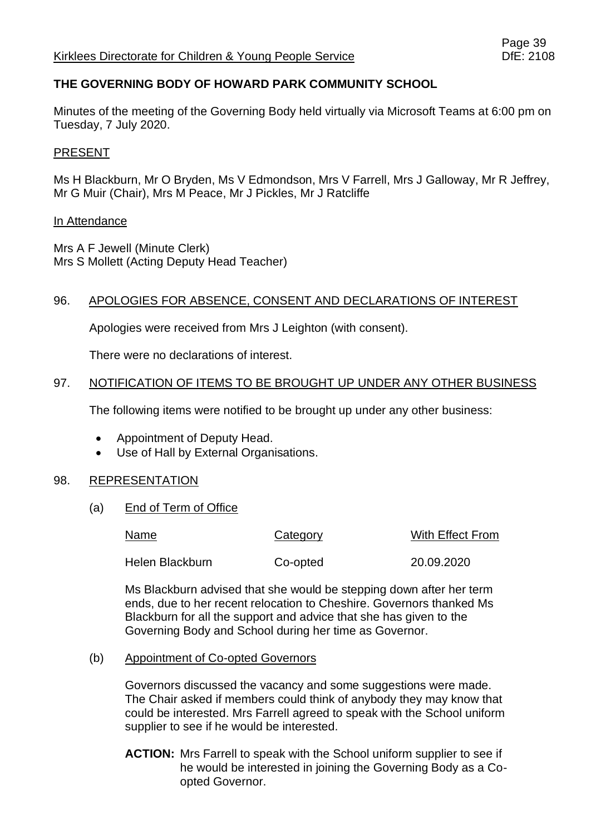# **THE GOVERNING BODY OF HOWARD PARK COMMUNITY SCHOOL**

Minutes of the meeting of the Governing Body held virtually via Microsoft Teams at 6:00 pm on Tuesday, 7 July 2020.

## PRESENT

Ms H Blackburn, Mr O Bryden, Ms V Edmondson, Mrs V Farrell, Mrs J Galloway, Mr R Jeffrey, Mr G Muir (Chair), Mrs M Peace, Mr J Pickles, Mr J Ratcliffe

## In Attendance

Mrs A F Jewell (Minute Clerk) Mrs S Mollett (Acting Deputy Head Teacher)

## 96. APOLOGIES FOR ABSENCE, CONSENT AND DECLARATIONS OF INTEREST

Apologies were received from Mrs J Leighton (with consent).

There were no declarations of interest.

## 97. NOTIFICATION OF ITEMS TO BE BROUGHT UP UNDER ANY OTHER BUSINESS

The following items were notified to be brought up under any other business:

- Appointment of Deputy Head.
- Use of Hall by External Organisations.

## 98. REPRESENTATION

(a) End of Term of Office

| Name            | Category | With Effect From |
|-----------------|----------|------------------|
| Helen Blackburn | Co-opted | 20.09.2020       |

Ms Blackburn advised that she would be stepping down after her term ends, due to her recent relocation to Cheshire. Governors thanked Ms Blackburn for all the support and advice that she has given to the Governing Body and School during her time as Governor.

## (b) Appointment of Co-opted Governors

Governors discussed the vacancy and some suggestions were made. The Chair asked if members could think of anybody they may know that could be interested. Mrs Farrell agreed to speak with the School uniform supplier to see if he would be interested.

**ACTION:** Mrs Farrell to speak with the School uniform supplier to see if he would be interested in joining the Governing Body as a Coopted Governor.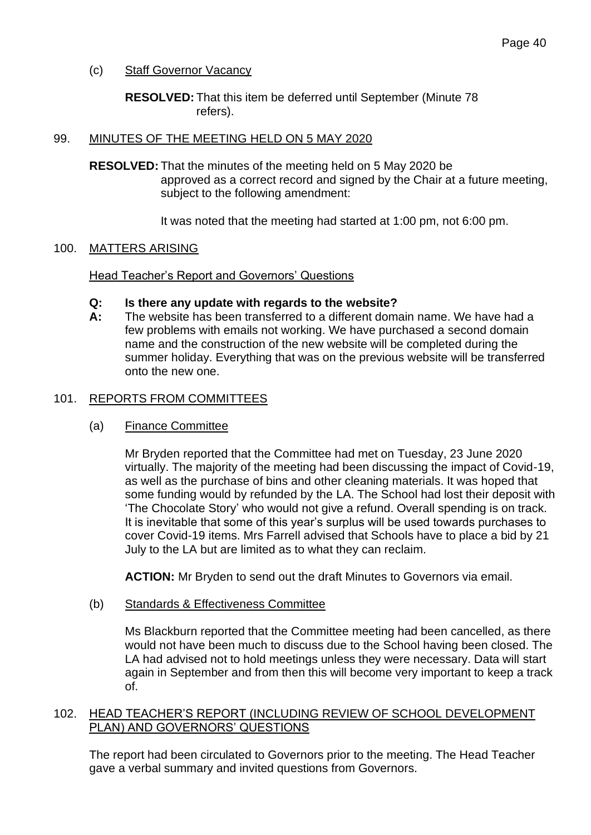(c) Staff Governor Vacancy

**RESOLVED:** That this item be deferred until September (Minute 78 refers).

#### 99. MINUTES OF THE MEETING HELD ON 5 MAY 2020

**RESOLVED:** That the minutes of the meeting held on 5 May 2020 be approved as a correct record and signed by the Chair at a future meeting, subject to the following amendment:

It was noted that the meeting had started at 1:00 pm, not 6:00 pm.

#### 100. MATTERS ARISING

Head Teacher's Report and Governors' Questions

#### **Q: Is there any update with regards to the website?**

**A:** The website has been transferred to a different domain name. We have had a few problems with emails not working. We have purchased a second domain name and the construction of the new website will be completed during the summer holiday. Everything that was on the previous website will be transferred onto the new one.

#### 101. REPORTS FROM COMMITTEES

#### (a) Finance Committee

Mr Bryden reported that the Committee had met on Tuesday, 23 June 2020 virtually. The majority of the meeting had been discussing the impact of Covid-19, as well as the purchase of bins and other cleaning materials. It was hoped that some funding would by refunded by the LA. The School had lost their deposit with 'The Chocolate Story' who would not give a refund. Overall spending is on track. It is inevitable that some of this year's surplus will be used towards purchases to cover Covid-19 items. Mrs Farrell advised that Schools have to place a bid by 21 July to the LA but are limited as to what they can reclaim.

**ACTION:** Mr Bryden to send out the draft Minutes to Governors via email.

(b) Standards & Effectiveness Committee

Ms Blackburn reported that the Committee meeting had been cancelled, as there would not have been much to discuss due to the School having been closed. The LA had advised not to hold meetings unless they were necessary. Data will start again in September and from then this will become very important to keep a track of.

## 102. HEAD TEACHER'S REPORT (INCLUDING REVIEW OF SCHOOL DEVELOPMENT PLAN) AND GOVERNORS' QUESTIONS

The report had been circulated to Governors prior to the meeting. The Head Teacher gave a verbal summary and invited questions from Governors.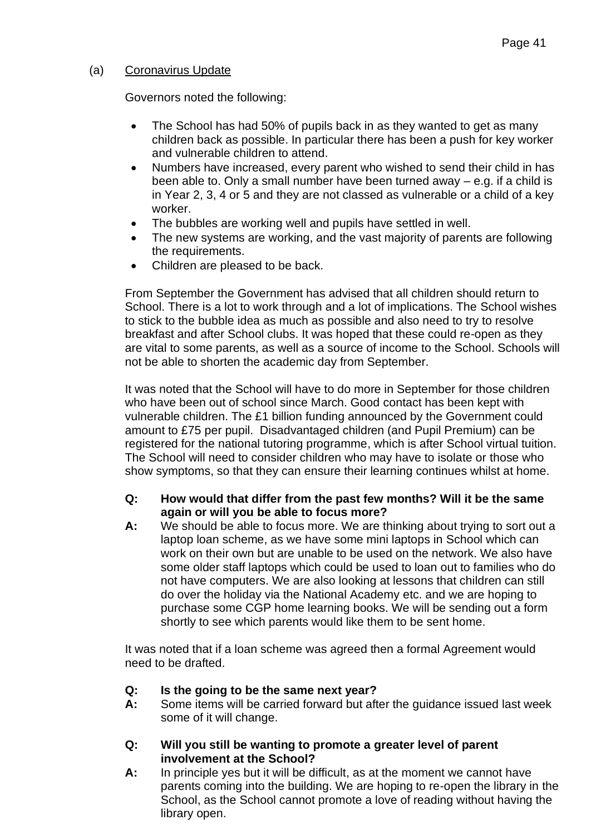# (a) Coronavirus Update

Governors noted the following:

- The School has had 50% of pupils back in as they wanted to get as many children back as possible. In particular there has been a push for key worker and vulnerable children to attend.
- Numbers have increased, every parent who wished to send their child in has been able to. Only a small number have been turned away – e.g. if a child is in Year 2, 3, 4 or 5 and they are not classed as vulnerable or a child of a key worker.
- The bubbles are working well and pupils have settled in well.
- The new systems are working, and the vast majority of parents are following the requirements.
- Children are pleased to be back.

From September the Government has advised that all children should return to School. There is a lot to work through and a lot of implications. The School wishes to stick to the bubble idea as much as possible and also need to try to resolve breakfast and after School clubs. It was hoped that these could re-open as they are vital to some parents, as well as a source of income to the School. Schools will not be able to shorten the academic day from September.

It was noted that the School will have to do more in September for those children who have been out of school since March. Good contact has been kept with vulnerable children. The £1 billion funding announced by the Government could amount to £75 per pupil. Disadvantaged children (and Pupil Premium) can be registered for the national tutoring programme, which is after School virtual tuition. The School will need to consider children who may have to isolate or those who show symptoms, so that they can ensure their learning continues whilst at home.

- **Q: How would that differ from the past few months? Will it be the same again or will you be able to focus more?**
- **A:** We should be able to focus more. We are thinking about trying to sort out a laptop loan scheme, as we have some mini laptops in School which can work on their own but are unable to be used on the network. We also have some older staff laptops which could be used to loan out to families who do not have computers. We are also looking at lessons that children can still do over the holiday via the National Academy etc. and we are hoping to purchase some CGP home learning books. We will be sending out a form shortly to see which parents would like them to be sent home.

It was noted that if a loan scheme was agreed then a formal Agreement would need to be drafted.

- **Q: Is the going to be the same next year?**
- **A:** Some items will be carried forward but after the guidance issued last week some of it will change.
- **Q: Will you still be wanting to promote a greater level of parent involvement at the School?**
- **A:** In principle yes but it will be difficult, as at the moment we cannot have parents coming into the building. We are hoping to re-open the library in the School, as the School cannot promote a love of reading without having the library open.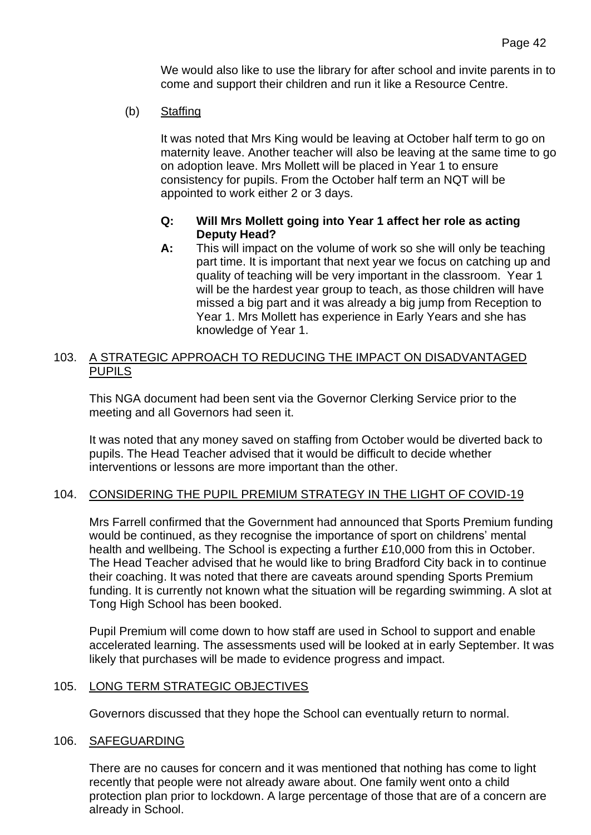We would also like to use the library for after school and invite parents in to come and support their children and run it like a Resource Centre.

(b) Staffing

It was noted that Mrs King would be leaving at October half term to go on maternity leave. Another teacher will also be leaving at the same time to go on adoption leave. Mrs Mollett will be placed in Year 1 to ensure consistency for pupils. From the October half term an NQT will be appointed to work either 2 or 3 days.

## **Q: Will Mrs Mollett going into Year 1 affect her role as acting Deputy Head?**

**A:** This will impact on the volume of work so she will only be teaching part time. It is important that next year we focus on catching up and quality of teaching will be very important in the classroom. Year 1 will be the hardest year group to teach, as those children will have missed a big part and it was already a big jump from Reception to Year 1. Mrs Mollett has experience in Early Years and she has knowledge of Year 1.

## 103. A STRATEGIC APPROACH TO REDUCING THE IMPACT ON DISADVANTAGED PUPILS

This NGA document had been sent via the Governor Clerking Service prior to the meeting and all Governors had seen it.

It was noted that any money saved on staffing from October would be diverted back to pupils. The Head Teacher advised that it would be difficult to decide whether interventions or lessons are more important than the other.

## 104. CONSIDERING THE PUPIL PREMIUM STRATEGY IN THE LIGHT OF COVID-19

Mrs Farrell confirmed that the Government had announced that Sports Premium funding would be continued, as they recognise the importance of sport on childrens' mental health and wellbeing. The School is expecting a further £10,000 from this in October. The Head Teacher advised that he would like to bring Bradford City back in to continue their coaching. It was noted that there are caveats around spending Sports Premium funding. It is currently not known what the situation will be regarding swimming. A slot at Tong High School has been booked.

Pupil Premium will come down to how staff are used in School to support and enable accelerated learning. The assessments used will be looked at in early September. It was likely that purchases will be made to evidence progress and impact.

## 105. LONG TERM STRATEGIC OBJECTIVES

Governors discussed that they hope the School can eventually return to normal.

#### 106. SAFEGUARDING

There are no causes for concern and it was mentioned that nothing has come to light recently that people were not already aware about. One family went onto a child protection plan prior to lockdown. A large percentage of those that are of a concern are already in School.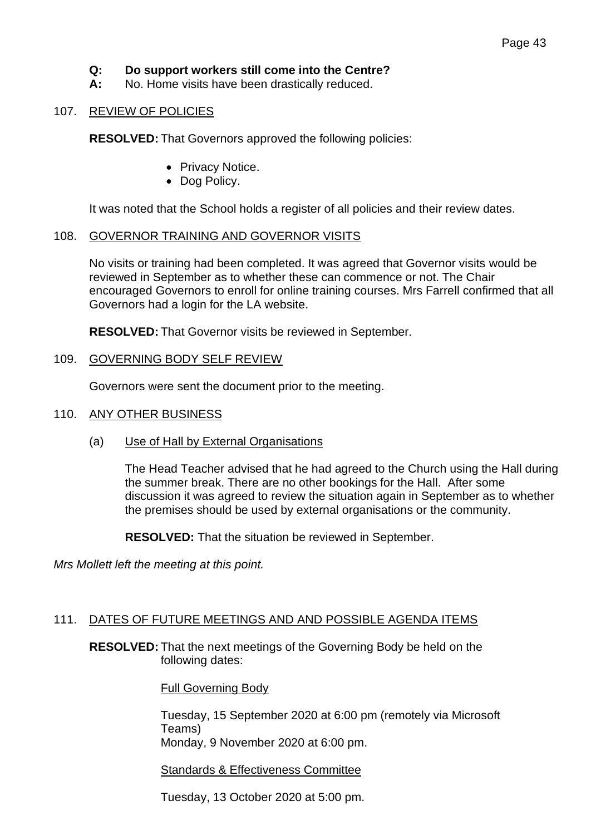# **Q: Do support workers still come into the Centre?**

**A:** No. Home visits have been drastically reduced.

#### 107. REVIEW OF POLICIES

**RESOLVED:** That Governors approved the following policies:

- Privacy Notice.
- Dog Policy.

It was noted that the School holds a register of all policies and their review dates.

#### 108. GOVERNOR TRAINING AND GOVERNOR VISITS

No visits or training had been completed. It was agreed that Governor visits would be reviewed in September as to whether these can commence or not. The Chair encouraged Governors to enroll for online training courses. Mrs Farrell confirmed that all Governors had a login for the LA website.

**RESOLVED:** That Governor visits be reviewed in September.

#### 109. GOVERNING BODY SELF REVIEW

Governors were sent the document prior to the meeting.

#### 110. ANY OTHER BUSINESS

(a) Use of Hall by External Organisations

The Head Teacher advised that he had agreed to the Church using the Hall during the summer break. There are no other bookings for the Hall. After some discussion it was agreed to review the situation again in September as to whether the premises should be used by external organisations or the community.

**RESOLVED:** That the situation be reviewed in September.

*Mrs Mollett left the meeting at this point.*

## 111. DATES OF FUTURE MEETINGS AND AND POSSIBLE AGENDA ITEMS

**RESOLVED:** That the next meetings of the Governing Body be held on the following dates:

Full Governing Body

Tuesday, 15 September 2020 at 6:00 pm (remotely via Microsoft Teams) Monday, 9 November 2020 at 6:00 pm.

Standards & Effectiveness Committee

Tuesday, 13 October 2020 at 5:00 pm.